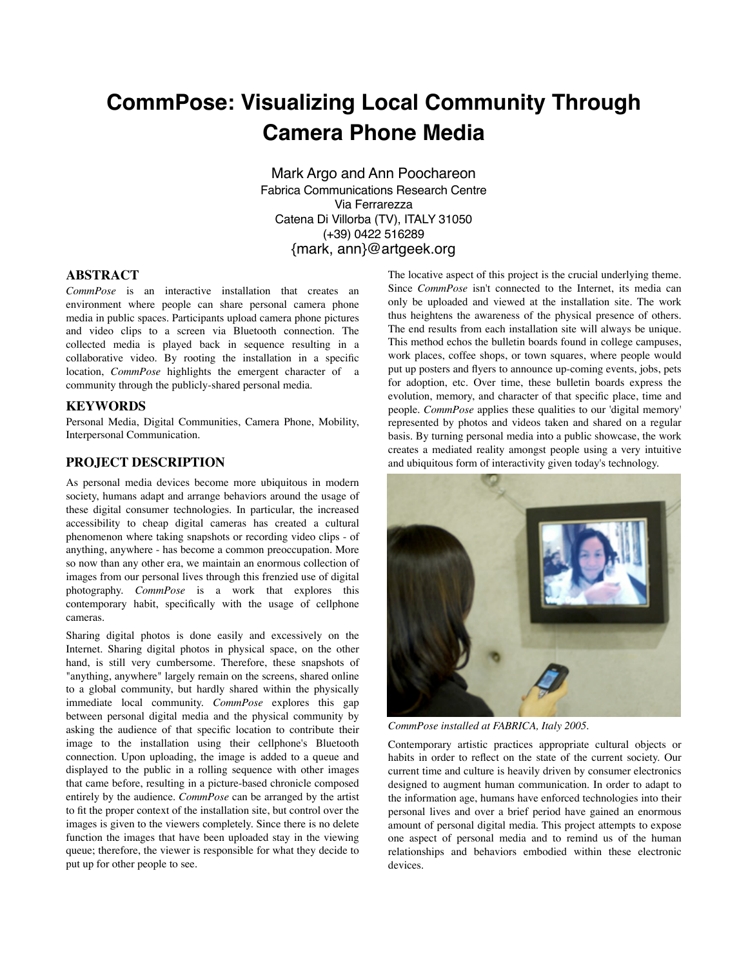# **CommPose: Visualizing Local Community Through Camera Phone Media**

Mark Argo and Ann Poochareon Fabrica Communications Research Centre Via Ferrarezza Catena Di Villorba (TV), ITALY 31050 (+39) 0422 516289 {mark, ann}@artgeek.org

## **ABSTRACT**

*CommPose* is an interactive installation that creates an environment where people can share personal camera phone media in public spaces. Participants upload camera phone pictures and video clips to a screen via Bluetooth connection. The collected media is played back in sequence resulting in a collaborative video. By rooting the installation in a specific location, *CommPose* highlights the emergent character of a community through the publicly-shared personal media.

#### **KEYWORDS**

Personal Media, Digital Communities, Camera Phone, Mobility, Interpersonal Communication.

## **PROJECT DESCRIPTION**

As personal media devices become more ubiquitous in modern society, humans adapt and arrange behaviors around the usage of these digital consumer technologies. In particular, the increased accessibility to cheap digital cameras has created a cultural phenomenon where taking snapshots or recording video clips - of anything, anywhere - has become a common preoccupation. More so now than any other era, we maintain an enormous collection of images from our personal lives through this frenzied use of digital photography. *CommPose* is a work that explores this contemporary habit, specifically with the usage of cellphone cameras.

Sharing digital photos is done easily and excessively on the Internet. Sharing digital photos in physical space, on the other hand, is still very cumbersome. Therefore, these snapshots of "anything, anywhere" largely remain on the screens, shared online to a global community, but hardly shared within the physically immediate local community. *CommPose* explores this gap between personal digital media and the physical community by asking the audience of that specific location to contribute their image to the installation using their cellphone's Bluetooth connection. Upon uploading, the image is added to a queue and displayed to the public in a rolling sequence with other images that came before, resulting in a picture-based chronicle composed entirely by the audience. *CommPose* can be arranged by the artist to fit the proper context of the installation site, but control over the images is given to the viewers completely. Since there is no delete function the images that have been uploaded stay in the viewing queue; therefore, the viewer is responsible for what they decide to put up for other people to see.

The locative aspect of this project is the crucial underlying theme. Since *CommPose* isn't connected to the Internet, its media can only be uploaded and viewed at the installation site. The work thus heightens the awareness of the physical presence of others. The end results from each installation site will always be unique. This method echos the bulletin boards found in college campuses, work places, coffee shops, or town squares, where people would put up posters and flyers to announce up-coming events, jobs, pets for adoption, etc. Over time, these bulletin boards express the evolution, memory, and character of that specific place, time and people. *CommPose* applies these qualities to our 'digital memory' represented by photos and videos taken and shared on a regular basis. By turning personal media into a public showcase, the work creates a mediated reality amongst people using a very intuitive and ubiquitous form of interactivity given today's technology.



*CommPose installed at FABRICA, Italy 2005.*

Contemporary artistic practices appropriate cultural objects or habits in order to reflect on the state of the current society. Our current time and culture is heavily driven by consumer electronics designed to augment human communication. In order to adapt to the information age, humans have enforced technologies into their personal lives and over a brief period have gained an enormous amount of personal digital media. This project attempts to expose one aspect of personal media and to remind us of the human relationships and behaviors embodied within these electronic devices.